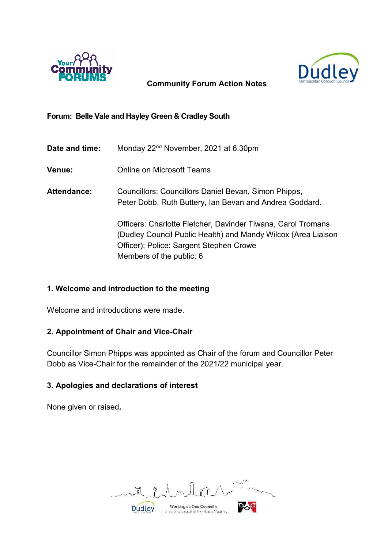



# **Community Forum Action Notes**

# **Forum: Belle Vale and Hayley Green & Cradley South**

| Date and time: | Monday 22 <sup>nd</sup> November, 2021 at 6.30pm                                                                                                                                                     |
|----------------|------------------------------------------------------------------------------------------------------------------------------------------------------------------------------------------------------|
| <b>Venue:</b>  | <b>Online on Microsoft Teams</b>                                                                                                                                                                     |
| Attendance:    | Councillors: Councillors Daniel Bevan, Simon Phipps,<br>Peter Dobb, Ruth Buttery, Ian Bevan and Andrea Goddard.                                                                                      |
|                | Officers: Charlotte Fletcher, Davinder Tiwana, Carol Tromans<br>(Dudley Council Public Health) and Mandy Wilcox (Area Liaison<br>Officer); Police: Sargent Stephen Crowe<br>Members of the public: 6 |

# **1. Welcome and introduction to the meeting**

Welcome and introductions were made.

# **2. Appointment of Chair and Vice-Chair**

Councillor Simon Phipps was appointed as Chair of the forum and Councillor Peter Dobb as Vice-Chair for the remainder of the 2021/22 municipal year.

# **3. Apologies and declarations of interest**

None given or raised**.**

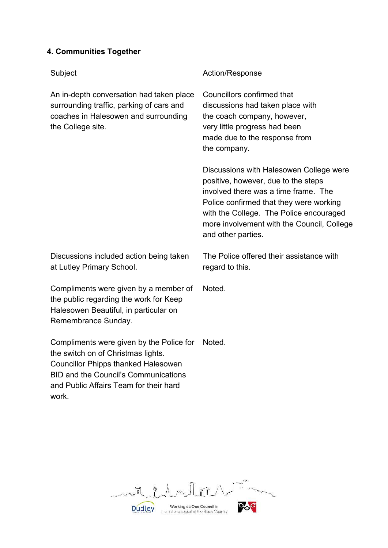# **4. Communities Together**

## Subject **Action/Response** An in-depth conversation had taken place surrounding traffic, parking of cars and coaches in Halesowen and surrounding the College site. Councillors confirmed that discussions had taken place with the coach company, however, very little progress had been made due to the response from the company. Discussions with Halesowen College were positive, however, due to the steps involved there was a time frame. The Police confirmed that they were working with the College. The Police encouraged more involvement with the Council, College and other parties. Discussions included action being taken at Lutley Primary School. The Police offered their assistance with regard to this. Compliments were given by a member of the public regarding the work for Keep Noted.

Compliments were given by the Police for the switch on of Christmas lights. Councillor Phipps thanked Halesowen BID and the Council's Communications and Public Affairs Team for their hard work. Noted.

Halesowen Beautiful, in particular on

Remembrance Sunday.

 $\theta$ ,  $\mu$ ,  $m$  $\frac{1}{8}$ **Dudley** Working as One Council in<br>the historic capital of the Black Country Working as One Council in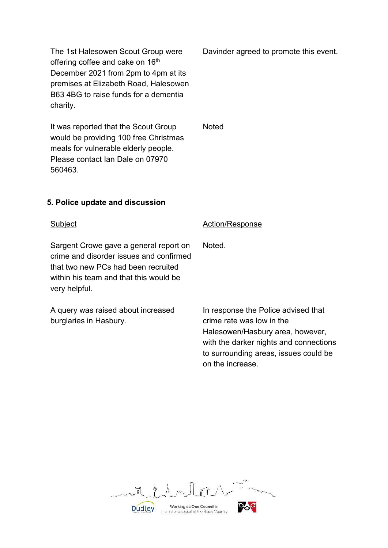The 1st Halesowen Scout Group were offering coffee and cake on 16<sup>th</sup> December 2021 from 2pm to 4pm at its premises at Elizabeth Road, Halesowen B63 4BG to raise funds for a dementia charity.

It was reported that the Scout Group would be providing 100 free Christmas meals for vulnerable elderly people. Please contact Ian Dale on 07970 560463.

Davinder agreed to promote this event.

**Noted** 

## **5. Police update and discussion**

Sargent Crowe gave a general report on crime and disorder issues and confirmed that two new PCs had been recruited within his team and that this would be very helpful.

A query was raised about increased burglaries in Hasbury.

#### Subject **Action/Response**

Noted.

In response the Police advised that crime rate was low in the Halesowen/Hasbury area, however, with the darker nights and connections to surrounding areas, issues could be on the increase.